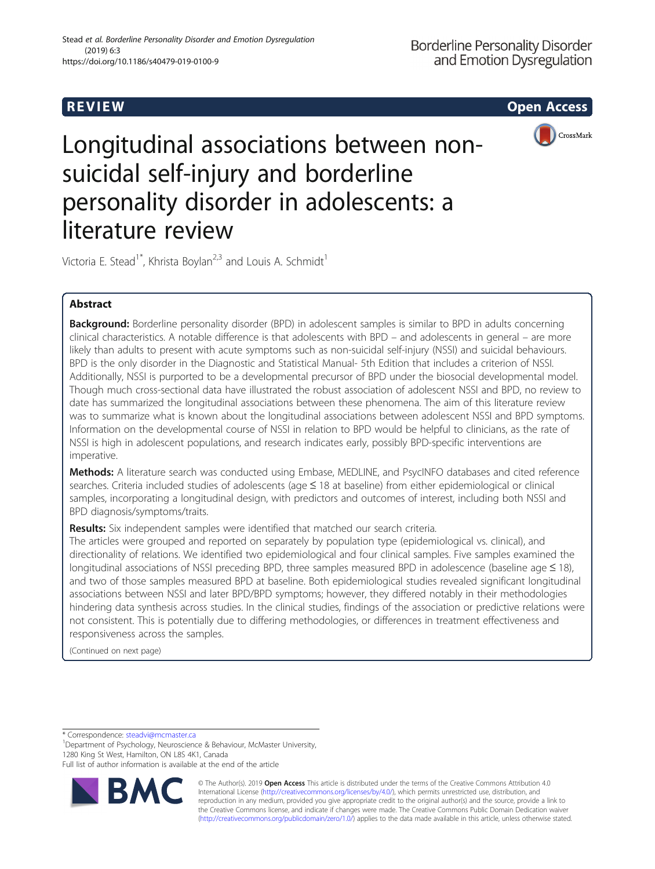R EVI EW Open Access



Longitudinal associations between nonsuicidal self-injury and borderline personality disorder in adolescents: a literature review

Victoria E. Stead<sup>1\*</sup>, Khrista Boylan<sup>2,3</sup> and Louis A. Schmidt<sup>1</sup>

# Abstract

**Background:** Borderline personality disorder (BPD) in adolescent samples is similar to BPD in adults concerning clinical characteristics. A notable difference is that adolescents with BPD – and adolescents in general – are more likely than adults to present with acute symptoms such as non-suicidal self-injury (NSSI) and suicidal behaviours. BPD is the only disorder in the Diagnostic and Statistical Manual- 5th Edition that includes a criterion of NSSI. Additionally, NSSI is purported to be a developmental precursor of BPD under the biosocial developmental model. Though much cross-sectional data have illustrated the robust association of adolescent NSSI and BPD, no review to date has summarized the longitudinal associations between these phenomena. The aim of this literature review was to summarize what is known about the longitudinal associations between adolescent NSSI and BPD symptoms. Information on the developmental course of NSSI in relation to BPD would be helpful to clinicians, as the rate of NSSI is high in adolescent populations, and research indicates early, possibly BPD-specific interventions are imperative.

Methods: A literature search was conducted using Embase, MEDLINE, and PsycINFO databases and cited reference searches. Criteria included studies of adolescents (age ≤ 18 at baseline) from either epidemiological or clinical samples, incorporating a longitudinal design, with predictors and outcomes of interest, including both NSSI and BPD diagnosis/symptoms/traits.

Results: Six independent samples were identified that matched our search criteria.

The articles were grouped and reported on separately by population type (epidemiological vs. clinical), and directionality of relations. We identified two epidemiological and four clinical samples. Five samples examined the longitudinal associations of NSSI preceding BPD, three samples measured BPD in adolescence (baseline age ≤ 18), and two of those samples measured BPD at baseline. Both epidemiological studies revealed significant longitudinal associations between NSSI and later BPD/BPD symptoms; however, they differed notably in their methodologies hindering data synthesis across studies. In the clinical studies, findings of the association or predictive relations were not consistent. This is potentially due to differing methodologies, or differences in treatment effectiveness and responsiveness across the samples.

(Continued on next page)

\* Correspondence: [steadvi@mcmaster.ca](mailto:steadvi@mcmaster.ca) <sup>1</sup>

<sup>1</sup>Department of Psychology, Neuroscience & Behaviour, McMaster University, 1280 King St West, Hamilton, ON L8S 4K1, Canada

Full list of author information is available at the end of the article



© The Author(s). 2019 **Open Access** This article is distributed under the terms of the Creative Commons Attribution 4.0 International License [\(http://creativecommons.org/licenses/by/4.0/](http://creativecommons.org/licenses/by/4.0/)), which permits unrestricted use, distribution, and reproduction in any medium, provided you give appropriate credit to the original author(s) and the source, provide a link to the Creative Commons license, and indicate if changes were made. The Creative Commons Public Domain Dedication waiver [\(http://creativecommons.org/publicdomain/zero/1.0/](http://creativecommons.org/publicdomain/zero/1.0/)) applies to the data made available in this article, unless otherwise stated.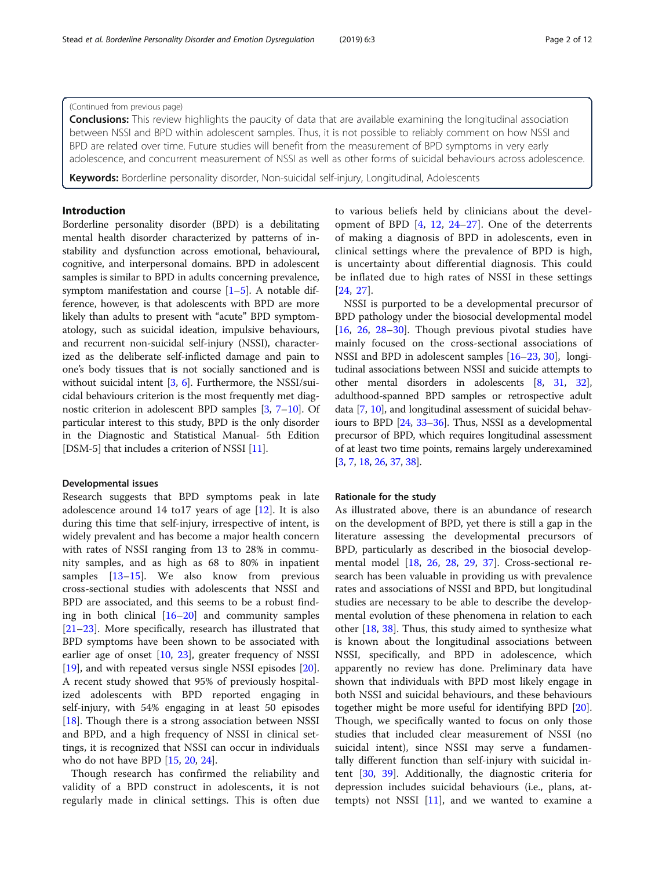## (Continued from previous page)

**Conclusions:** This review highlights the paucity of data that are available examining the longitudinal association between NSSI and BPD within adolescent samples. Thus, it is not possible to reliably comment on how NSSI and BPD are related over time. Future studies will benefit from the measurement of BPD symptoms in very early adolescence, and concurrent measurement of NSSI as well as other forms of suicidal behaviours across adolescence.

Keywords: Borderline personality disorder, Non-suicidal self-injury, Longitudinal, Adolescents

## Introduction

Borderline personality disorder (BPD) is a debilitating mental health disorder characterized by patterns of instability and dysfunction across emotional, behavioural, cognitive, and interpersonal domains. BPD in adolescent samples is similar to BPD in adults concerning prevalence, symptom manifestation and course  $[1-5]$  $[1-5]$  $[1-5]$  $[1-5]$  $[1-5]$ . A notable difference, however, is that adolescents with BPD are more likely than adults to present with "acute" BPD symptomatology, such as suicidal ideation, impulsive behaviours, and recurrent non-suicidal self-injury (NSSI), characterized as the deliberate self-inflicted damage and pain to one's body tissues that is not socially sanctioned and is without suicidal intent [\[3,](#page-10-0) [6](#page-10-0)]. Furthermore, the NSSI/suicidal behaviours criterion is the most frequently met diagnostic criterion in adolescent BPD samples [\[3](#page-10-0), [7](#page-10-0)–[10](#page-10-0)]. Of particular interest to this study, BPD is the only disorder in the Diagnostic and Statistical Manual- 5th Edition [DSM-5] that includes a criterion of NSSI [\[11\]](#page-10-0).

## Developmental issues

Research suggests that BPD symptoms peak in late adolescence around 14 to 17 years of age  $[12]$  $[12]$ . It is also during this time that self-injury, irrespective of intent, is widely prevalent and has become a major health concern with rates of NSSI ranging from 13 to 28% in community samples, and as high as 68 to 80% in inpatient samples [\[13](#page-10-0)–[15\]](#page-10-0). We also know from previous cross-sectional studies with adolescents that NSSI and BPD are associated, and this seems to be a robust finding in both clinical [[16](#page-10-0)–[20](#page-10-0)] and community samples [[21](#page-10-0)–[23](#page-10-0)]. More specifically, research has illustrated that BPD symptoms have been shown to be associated with earlier age of onset [\[10](#page-10-0), [23](#page-10-0)], greater frequency of NSSI [[19\]](#page-10-0), and with repeated versus single NSSI episodes [\[20](#page-10-0)]. A recent study showed that 95% of previously hospitalized adolescents with BPD reported engaging in self-injury, with 54% engaging in at least 50 episodes [[18\]](#page-10-0). Though there is a strong association between NSSI and BPD, and a high frequency of NSSI in clinical settings, it is recognized that NSSI can occur in individuals who do not have BPD [[15,](#page-10-0) [20,](#page-10-0) [24\]](#page-10-0).

Though research has confirmed the reliability and validity of a BPD construct in adolescents, it is not regularly made in clinical settings. This is often due to various beliefs held by clinicians about the development of BPD  $[4, 12, 24-27]$  $[4, 12, 24-27]$  $[4, 12, 24-27]$  $[4, 12, 24-27]$  $[4, 12, 24-27]$  $[4, 12, 24-27]$  $[4, 12, 24-27]$  $[4, 12, 24-27]$  $[4, 12, 24-27]$ . One of the deterrents of making a diagnosis of BPD in adolescents, even in clinical settings where the prevalence of BPD is high, is uncertainty about differential diagnosis. This could be inflated due to high rates of NSSI in these settings [[24,](#page-10-0) [27](#page-10-0)].

NSSI is purported to be a developmental precursor of BPD pathology under the biosocial developmental model [[16,](#page-10-0) [26,](#page-10-0) [28](#page-10-0)–[30](#page-10-0)]. Though previous pivotal studies have mainly focused on the cross-sectional associations of NSSI and BPD in adolescent samples [[16](#page-10-0)–[23](#page-10-0), [30](#page-10-0)], longitudinal associations between NSSI and suicide attempts to other mental disorders in adolescents [\[8,](#page-10-0) [31](#page-10-0), [32](#page-10-0)], adulthood-spanned BPD samples or retrospective adult data [\[7](#page-10-0), [10\]](#page-10-0), and longitudinal assessment of suicidal behaviours to BPD [[24](#page-10-0), [33](#page-10-0)–[36\]](#page-10-0). Thus, NSSI as a developmental precursor of BPD, which requires longitudinal assessment of at least two time points, remains largely underexamined [[3](#page-10-0), [7,](#page-10-0) [18](#page-10-0), [26](#page-10-0), [37](#page-10-0), [38\]](#page-10-0).

## Rationale for the study

As illustrated above, there is an abundance of research on the development of BPD, yet there is still a gap in the literature assessing the developmental precursors of BPD, particularly as described in the biosocial developmental model [\[18](#page-10-0), [26](#page-10-0), [28](#page-10-0), [29](#page-10-0), [37](#page-10-0)]. Cross-sectional research has been valuable in providing us with prevalence rates and associations of NSSI and BPD, but longitudinal studies are necessary to be able to describe the developmental evolution of these phenomena in relation to each other [[18](#page-10-0), [38\]](#page-10-0). Thus, this study aimed to synthesize what is known about the longitudinal associations between NSSI, specifically, and BPD in adolescence, which apparently no review has done. Preliminary data have shown that individuals with BPD most likely engage in both NSSI and suicidal behaviours, and these behaviours together might be more useful for identifying BPD [\[20](#page-10-0)]. Though, we specifically wanted to focus on only those studies that included clear measurement of NSSI (no suicidal intent), since NSSI may serve a fundamentally different function than self-injury with suicidal intent [[30,](#page-10-0) [39](#page-10-0)]. Additionally, the diagnostic criteria for depression includes suicidal behaviours (i.e., plans, attempts) not NSSI  $[11]$  $[11]$ , and we wanted to examine a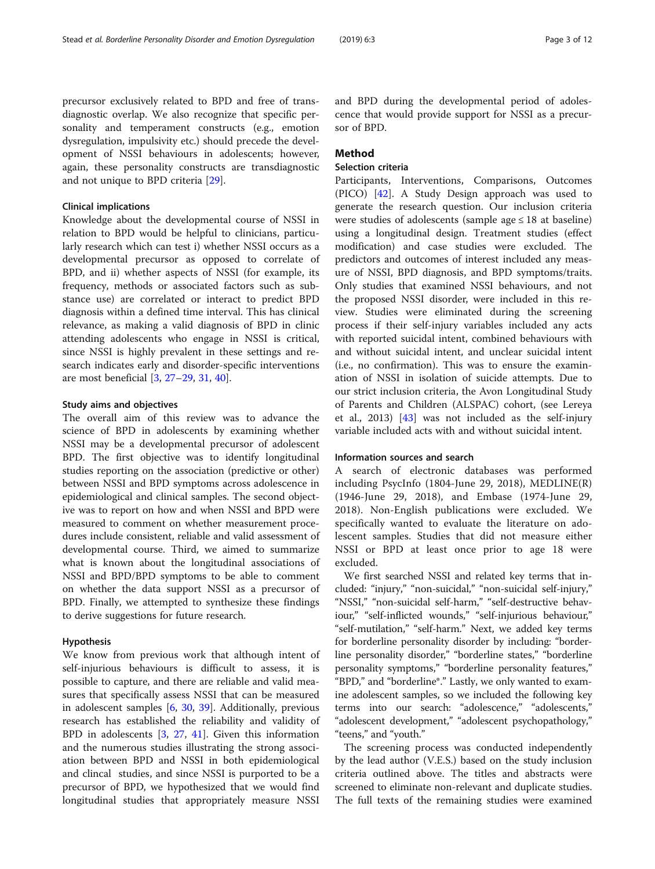precursor exclusively related to BPD and free of transdiagnostic overlap. We also recognize that specific personality and temperament constructs (e.g., emotion dysregulation, impulsivity etc.) should precede the development of NSSI behaviours in adolescents; however, again, these personality constructs are transdiagnostic and not unique to BPD criteria [\[29](#page-10-0)].

## Clinical implications

Knowledge about the developmental course of NSSI in relation to BPD would be helpful to clinicians, particularly research which can test i) whether NSSI occurs as a developmental precursor as opposed to correlate of BPD, and ii) whether aspects of NSSI (for example, its frequency, methods or associated factors such as substance use) are correlated or interact to predict BPD diagnosis within a defined time interval. This has clinical relevance, as making a valid diagnosis of BPD in clinic attending adolescents who engage in NSSI is critical, since NSSI is highly prevalent in these settings and research indicates early and disorder-specific interventions are most beneficial [[3,](#page-10-0) [27](#page-10-0)–[29,](#page-10-0) [31](#page-10-0), [40](#page-10-0)].

## Study aims and objectives

The overall aim of this review was to advance the science of BPD in adolescents by examining whether NSSI may be a developmental precursor of adolescent BPD. The first objective was to identify longitudinal studies reporting on the association (predictive or other) between NSSI and BPD symptoms across adolescence in epidemiological and clinical samples. The second objective was to report on how and when NSSI and BPD were measured to comment on whether measurement procedures include consistent, reliable and valid assessment of developmental course. Third, we aimed to summarize what is known about the longitudinal associations of NSSI and BPD/BPD symptoms to be able to comment on whether the data support NSSI as a precursor of BPD. Finally, we attempted to synthesize these findings to derive suggestions for future research.

## Hypothesis

We know from previous work that although intent of self-injurious behaviours is difficult to assess, it is possible to capture, and there are reliable and valid measures that specifically assess NSSI that can be measured in adolescent samples [\[6](#page-10-0), [30](#page-10-0), [39\]](#page-10-0). Additionally, previous research has established the reliability and validity of BPD in adolescents [[3](#page-10-0), [27,](#page-10-0) [41](#page-10-0)]. Given this information and the numerous studies illustrating the strong association between BPD and NSSI in both epidemiological and clincal studies, and since NSSI is purported to be a precursor of BPD, we hypothesized that we would find longitudinal studies that appropriately measure NSSI

and BPD during the developmental period of adolescence that would provide support for NSSI as a precursor of BPD.

## Method

## Selection criteria

Participants, Interventions, Comparisons, Outcomes (PICO) [\[42](#page-10-0)]. A Study Design approach was used to generate the research question. Our inclusion criteria were studies of adolescents (sample age  $\leq 18$  at baseline) using a longitudinal design. Treatment studies (effect modification) and case studies were excluded. The predictors and outcomes of interest included any measure of NSSI, BPD diagnosis, and BPD symptoms/traits. Only studies that examined NSSI behaviours, and not the proposed NSSI disorder, were included in this review. Studies were eliminated during the screening process if their self-injury variables included any acts with reported suicidal intent, combined behaviours with and without suicidal intent, and unclear suicidal intent (i.e., no confirmation). This was to ensure the examination of NSSI in isolation of suicide attempts. Due to our strict inclusion criteria, the Avon Longitudinal Study of Parents and Children (ALSPAC) cohort, (see Lereya et al., 2013) [\[43\]](#page-10-0) was not included as the self-injury variable included acts with and without suicidal intent.

## Information sources and search

A search of electronic databases was performed including PsycInfo (1804-June 29, 2018), MEDLINE(R) (1946-June 29, 2018), and Embase (1974-June 29, 2018). Non-English publications were excluded. We specifically wanted to evaluate the literature on adolescent samples. Studies that did not measure either NSSI or BPD at least once prior to age 18 were excluded.

We first searched NSSI and related key terms that included: "injury," "non-suicidal," "non-suicidal self-injury," "NSSI," "non-suicidal self-harm," "self-destructive behaviour," "self-inflicted wounds," "self-injurious behaviour," "self-mutilation," "self-harm." Next, we added key terms for borderline personality disorder by including: "borderline personality disorder," "borderline states," "borderline personality symptoms," "borderline personality features," "BPD," and "borderline\*." Lastly, we only wanted to examine adolescent samples, so we included the following key terms into our search: "adolescence," "adolescents," "adolescent development," "adolescent psychopathology," "teens," and "youth."

The screening process was conducted independently by the lead author (V.E.S.) based on the study inclusion criteria outlined above. The titles and abstracts were screened to eliminate non-relevant and duplicate studies. The full texts of the remaining studies were examined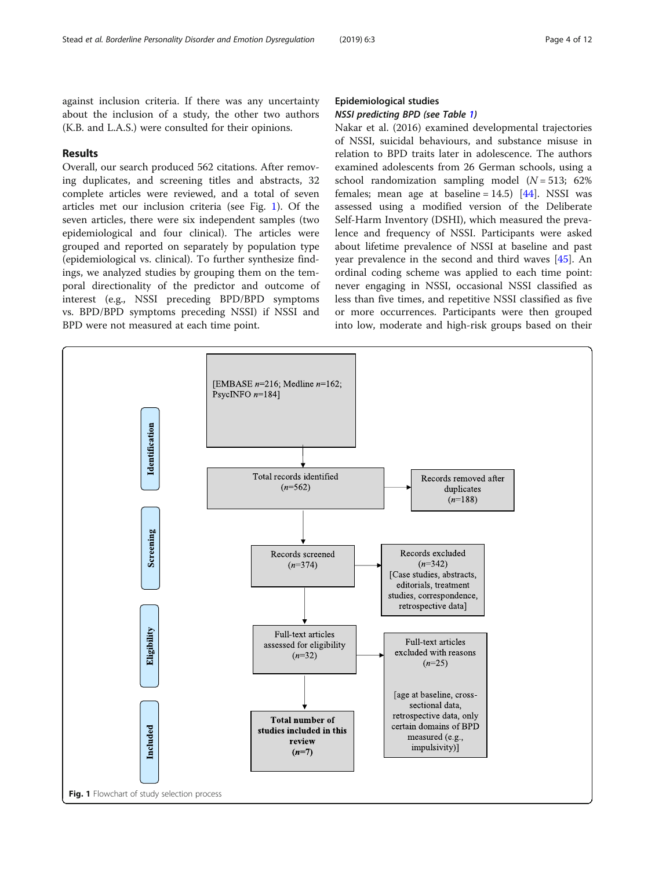against inclusion criteria. If there was any uncertainty about the inclusion of a study, the other two authors (K.B. and L.A.S.) were consulted for their opinions.

## Results

Overall, our search produced 562 citations. After removing duplicates, and screening titles and abstracts, 32 complete articles were reviewed, and a total of seven articles met our inclusion criteria (see Fig. 1). Of the seven articles, there were six independent samples (two epidemiological and four clinical). The articles were grouped and reported on separately by population type (epidemiological vs. clinical). To further synthesize findings, we analyzed studies by grouping them on the temporal directionality of the predictor and outcome of interest (e.g., NSSI preceding BPD/BPD symptoms vs. BPD/BPD symptoms preceding NSSI) if NSSI and BPD were not measured at each time point.

# Epidemiological studies

## NSSI predicting BPD (see Table [1](#page-4-0))

Nakar et al. (2016) examined developmental trajectories of NSSI, suicidal behaviours, and substance misuse in relation to BPD traits later in adolescence. The authors examined adolescents from 26 German schools, using a school randomization sampling model  $(N = 513; 62\%)$ females; mean age at baseline =  $14.5$ ) [[44\]](#page-10-0). NSSI was assessed using a modified version of the Deliberate Self-Harm Inventory (DSHI), which measured the prevalence and frequency of NSSI. Participants were asked about lifetime prevalence of NSSI at baseline and past year prevalence in the second and third waves [\[45](#page-10-0)]. An ordinal coding scheme was applied to each time point: never engaging in NSSI, occasional NSSI classified as less than five times, and repetitive NSSI classified as five or more occurrences. Participants were then grouped into low, moderate and high-risk groups based on their

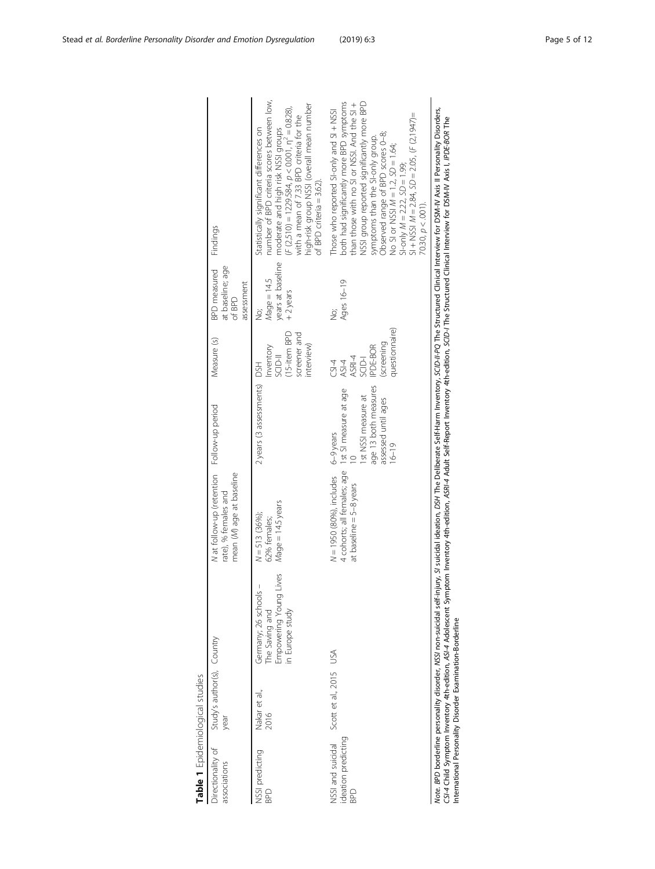<span id="page-4-0"></span>

| Table 1 Epidemiological studies                      |                                    |                                                                                      |                                                                                                                        |                                                                                              |                                                                                 |                                                                 |                                                                                                                                                                                                                                                                                                                                                                                                       |
|------------------------------------------------------|------------------------------------|--------------------------------------------------------------------------------------|------------------------------------------------------------------------------------------------------------------------|----------------------------------------------------------------------------------------------|---------------------------------------------------------------------------------|-----------------------------------------------------------------|-------------------------------------------------------------------------------------------------------------------------------------------------------------------------------------------------------------------------------------------------------------------------------------------------------------------------------------------------------------------------------------------------------|
| Directionality of<br>associations                    | Study's author(s), Country<br>year |                                                                                      | N at follow-up (retention<br>mean (M) age at baseline<br>rate), % females and                                          | Follow-up period                                                                             | Measure (s)                                                                     | at baseline; age<br><b>BPD</b> measured<br>assessment<br>of BPD | Findings                                                                                                                                                                                                                                                                                                                                                                                              |
| NSSI predicting<br>BPD                               | Nakar et al.,<br>2016              | Empowering Young Lives<br>Germany; 26 schools –<br>The Saving and<br>in Europe study | Mage = 14.5 years<br>$N = 513$ (36%);<br>62% females;                                                                  | 2 years (3 assessments) DSH                                                                  | (15-item BPD<br>screener and<br>interview)<br>Inventory<br><b>IFCIDS</b>        | years at baseline<br>$Mage = 14.5$<br>$+2$ years<br>ġ           | number of BPD criteria scores between low,<br>high-risk group NSSI (overall mean number<br>$(F (2,510) = 1229.584, p < 0.001, \eta^2 = 0.828),$<br>with a mean of 7.33 BPD criteria for the<br>Statistically significant differences on<br>moderate and high risk NSSI groups<br>of BPD criteria = $3.62$ ).                                                                                          |
| NSSI and suicidal<br>ideation predicting<br><b>G</b> | Scott et al., 2015 USA             |                                                                                      | 4 cohorts; all females; age 1st SI measure at age<br>$N = 1950$ (80%), includes $6-9$ years<br>at baseline = 5-8 years | age 13 both measures<br>1st NSSI measure at<br>assessed until ages<br>$16 - 19$<br>$\approx$ | questionnaire)<br>(screening<br>IPDE-BOR<br>ASI-4<br>ASRI-4<br>SCID-I<br>$-5-4$ | Ages 16-19<br>ġ                                                 | both had significantly more BPD symptoms<br><b>NSSI</b> group reported significantly more BPD<br>than those with no SI or NSSI. And the SI +<br>Those who reported SI-only and SI + NSSI<br>$51 + N551 M = 2.84$ , $SD = 2.05$ , $(F (2, 1947) =$<br>symptoms than the SI-only group.<br>Observed range of BPD scores 0–8;<br>No SI or NSSI M = 1.2, SD = 1.64;<br>SI-only $M = 2.22$ , $SD = 1.99$ ; |

| $0.30, p < .001$ ).                                                                                                                                                                                                                                                                                                                                                                                                                                                                                    |
|--------------------------------------------------------------------------------------------------------------------------------------------------------------------------------------------------------------------------------------------------------------------------------------------------------------------------------------------------------------------------------------------------------------------------------------------------------------------------------------------------------|
| jury, SI suicidal ideation, DSH The Deliberate Self-Harm Inventory, SCID-I/-PQ The Structured Clinical Interview for DSM-IV Axis II Personality Disorders,<br>CSI-4 Child Symptony 4th-edition, A3I-4 Adolescent Symptom Inventory 4th-edition, Adult Self-Report Inventory 4th-edition, SCID-/ The Structured Clinical Interview for DSM-IV Axis I, IPDE-80R The<br>Vote. BPD borderline personality disorder, NSS/ non-suicidal self-inj<br>nternational Personality Disorder Examination-Borderline |
|                                                                                                                                                                                                                                                                                                                                                                                                                                                                                                        |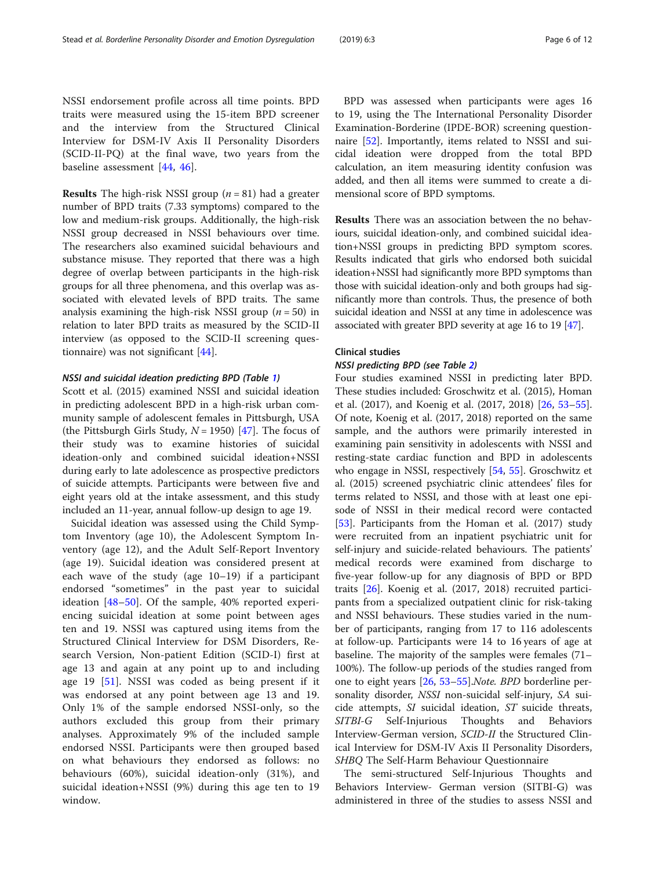NSSI endorsement profile across all time points. BPD traits were measured using the 15-item BPD screener and the interview from the Structured Clinical Interview for DSM-IV Axis II Personality Disorders (SCID-II-PQ) at the final wave, two years from the baseline assessment [\[44](#page-10-0), [46](#page-10-0)].

**Results** The high-risk NSSI group  $(n = 81)$  had a greater number of BPD traits (7.33 symptoms) compared to the low and medium-risk groups. Additionally, the high-risk NSSI group decreased in NSSI behaviours over time. The researchers also examined suicidal behaviours and substance misuse. They reported that there was a high degree of overlap between participants in the high-risk groups for all three phenomena, and this overlap was associated with elevated levels of BPD traits. The same analysis examining the high-risk NSSI group  $(n = 50)$  in relation to later BPD traits as measured by the SCID-II interview (as opposed to the SCID-II screening questionnaire) was not significant [\[44](#page-10-0)].

## NSSI and suicidal ideation predicting BPD (Table [1\)](#page-4-0)

Scott et al. (2015) examined NSSI and suicidal ideation in predicting adolescent BPD in a high-risk urban community sample of adolescent females in Pittsburgh, USA (the Pittsburgh Girls Study,  $N = 1950$ ) [[47\]](#page-11-0). The focus of their study was to examine histories of suicidal ideation-only and combined suicidal ideation+NSSI during early to late adolescence as prospective predictors of suicide attempts. Participants were between five and eight years old at the intake assessment, and this study included an 11-year, annual follow-up design to age 19.

Suicidal ideation was assessed using the Child Symptom Inventory (age 10), the Adolescent Symptom Inventory (age 12), and the Adult Self-Report Inventory (age 19). Suicidal ideation was considered present at each wave of the study (age 10–19) if a participant endorsed "sometimes" in the past year to suicidal ideation [[48](#page-11-0)–[50\]](#page-11-0). Of the sample, 40% reported experiencing suicidal ideation at some point between ages ten and 19. NSSI was captured using items from the Structured Clinical Interview for DSM Disorders, Research Version, Non-patient Edition (SCID-I) first at age 13 and again at any point up to and including age 19 [[51](#page-11-0)]. NSSI was coded as being present if it was endorsed at any point between age 13 and 19. Only 1% of the sample endorsed NSSI-only, so the authors excluded this group from their primary analyses. Approximately 9% of the included sample endorsed NSSI. Participants were then grouped based on what behaviours they endorsed as follows: no behaviours (60%), suicidal ideation-only (31%), and suicidal ideation+NSSI (9%) during this age ten to 19 window.

BPD was assessed when participants were ages 16 to 19, using the The International Personality Disorder Examination-Borderine (IPDE-BOR) screening questionnaire [[52\]](#page-11-0). Importantly, items related to NSSI and suicidal ideation were dropped from the total BPD calculation, an item measuring identity confusion was added, and then all items were summed to create a dimensional score of BPD symptoms.

Results There was an association between the no behaviours, suicidal ideation-only, and combined suicidal ideation+NSSI groups in predicting BPD symptom scores. Results indicated that girls who endorsed both suicidal ideation+NSSI had significantly more BPD symptoms than those with suicidal ideation-only and both groups had significantly more than controls. Thus, the presence of both suicidal ideation and NSSI at any time in adolescence was associated with greater BPD severity at age 16 to 19 [\[47\]](#page-11-0).

## Clinical studies

## NSSI predicting BPD (see Table [2](#page-6-0))

Four studies examined NSSI in predicting later BPD. These studies included: Groschwitz et al. (2015), Homan et al. (2017), and Koenig et al. (2017, 2018) [\[26](#page-10-0), [53](#page-11-0)–[55](#page-11-0)]. Of note, Koenig et al. (2017, 2018) reported on the same sample, and the authors were primarily interested in examining pain sensitivity in adolescents with NSSI and resting-state cardiac function and BPD in adolescents who engage in NSSI, respectively [[54,](#page-11-0) [55\]](#page-11-0). Groschwitz et al. (2015) screened psychiatric clinic attendees' files for terms related to NSSI, and those with at least one episode of NSSI in their medical record were contacted [[53\]](#page-11-0). Participants from the Homan et al. (2017) study were recruited from an inpatient psychiatric unit for self-injury and suicide-related behaviours. The patients' medical records were examined from discharge to five-year follow-up for any diagnosis of BPD or BPD traits [\[26\]](#page-10-0). Koenig et al. (2017, 2018) recruited participants from a specialized outpatient clinic for risk-taking and NSSI behaviours. These studies varied in the number of participants, ranging from 17 to 116 adolescents at follow-up. Participants were 14 to 16 years of age at baseline. The majority of the samples were females (71– 100%). The follow-up periods of the studies ranged from one to eight years [[26](#page-10-0), [53](#page-11-0)–[55](#page-11-0)].Note. BPD borderline personality disorder, NSSI non-suicidal self-injury, SA suicide attempts, SI suicidal ideation, ST suicide threats, SITBI-G Self-Injurious Thoughts and Behaviors Interview-German version, SCID-II the Structured Clinical Interview for DSM-IV Axis II Personality Disorders, SHBQ The Self-Harm Behaviour Questionnaire

The semi-structured Self-Injurious Thoughts and Behaviors Interview- German version (SITBI-G) was administered in three of the studies to assess NSSI and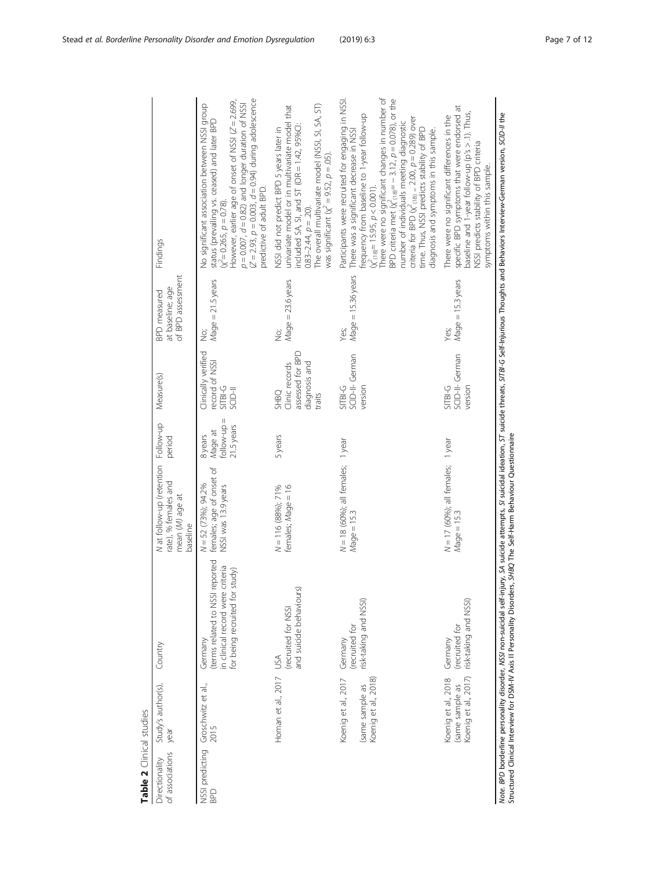| ï |
|---|
| ١ |
|   |
|   |
| í |
|   |

<span id="page-6-0"></span>

| Table 2 Clinical studies          |                                                                |                                                                                                                  |                                                                                            |                                                  |                                                                              |                                                              |                                                                                                                                                                                                                                                                                                                                                                                                                                                                                                                     |
|-----------------------------------|----------------------------------------------------------------|------------------------------------------------------------------------------------------------------------------|--------------------------------------------------------------------------------------------|--------------------------------------------------|------------------------------------------------------------------------------|--------------------------------------------------------------|---------------------------------------------------------------------------------------------------------------------------------------------------------------------------------------------------------------------------------------------------------------------------------------------------------------------------------------------------------------------------------------------------------------------------------------------------------------------------------------------------------------------|
| of associations<br>Directionality | Study's author(s),<br>vear                                     | Country                                                                                                          | N at follow-up (retention Follow-up<br>rate), % females and<br>mean (M) age at<br>baseline | period                                           | Measure(s)                                                                   | of BPD assessment<br>at baseline; age<br><b>BPD</b> measured | Findings                                                                                                                                                                                                                                                                                                                                                                                                                                                                                                            |
| NSSI predicting<br><b>GdG</b>     | Groschwitz et al.,<br>2015                                     | (terms related to NSSI reported<br>in clinical record were criteria<br>for being recruited for study)<br>Germany | females; age of onset of<br>$N = 52$ (73%); 94.2%<br>NSSI was 13.9 years                   | $=$ dn-wollo<br>21.5 years<br>Mage at<br>8 years | Clinically verified<br>record of NSSI<br>SITBI-G<br><b>IFCIDS</b>            | $M$ age = $21.5$ years<br>.<br>Si                            | $(Z = 2.93, p = 0.003, d = 0.94)$ during adolescence<br>However, earlier age of onset of NSSI $(Z = 2.699,$<br>$p = 0.007$ , $d = 0.82$ ) and longer duration of NSSI<br>No significant association between NSSI group<br>status (prevailing vs. ceased) and later BPD<br>predictive of adult BPD.<br>$(x^2 = 0.265, p = 0.78).$                                                                                                                                                                                    |
|                                   | Homan et al., 2017 USA                                         | and suicide behaviours)<br>(recruited for NSSI                                                                   | females; Mage = 16<br>$N = 116 (88\%)$ ; 71%                                               | 5years                                           | assessed for BPD<br>diagnosis and<br>Clinic records<br><b>SHBQ</b><br>traits | $Mage = 23.6 years$<br>.<br>Si                               | The overall multivariate model (NSSI, SI, SA, ST)<br>univariate model or in multivariate model that<br>included SA, SI, and ST (OR = $1.42$ , $95\%$ Cl:<br>NSSI did not predict BPD 5 years later in<br>was significant ( $\chi^2$ = 9.52, $\rho$ = .05).<br>$0.83 - 2.44$ , $p = .20$ ).                                                                                                                                                                                                                          |
|                                   | Koenig et al., 2017<br>Koenig et al., 2018)<br>(same sample as | risk-taking and NSSI)<br>(recruited for<br>Germany                                                               | $N = 18$ (60%); all females; 1 year<br>$Mage = 15.3$                                       |                                                  | SCID-II- German<br>$SIBH-G$<br>version                                       | $Mage = 15.36 years$<br>Yes:                                 | There were no significant changes in number of<br>Participants were recruited for engaging in NSSI.<br>BPD criteria met $\hat{\chi}^2_{(18)} = -3.12$ , $p = 0.078$ ), or the<br>frequency from baseline to 1-year follow-up<br>criteria for BPD ( $\chi^2_{(18)} = 2.00$ , $p = 0.289$ ) over<br>number of individuals meeting diagnostic<br>time. Thus, NSSI predicts stability of BPD<br>There was a significant decrease in NSSI<br>diagnosis and symptoms in this sample.<br>$(x_{(18)}^2 = 15.95, p < 0.001)$ |
|                                   | (same sample as<br>Koenig et al., 2017)<br>Koenig et al., 2018 | risk-taking and NSSI)<br>(recruited for<br>Germany                                                               | $N = 17$ (60%); all females; 1 year<br>$Mage = 15.3$                                       |                                                  | SCID-II- German<br>SITBI-G<br>version                                        | $M$ age $= 15.3$ years<br>Yes;                               | specific BPD symptoms that were endorsed at<br>baseline and 1-year follow-up (p's > .1). Thus,<br>There were no significant differences in the<br>NSSI predicts stability of BPD criteria<br>symptoms within this sample.                                                                                                                                                                                                                                                                                           |
|                                   |                                                                |                                                                                                                  |                                                                                            |                                                  |                                                                              |                                                              | Note. BPD borderline personality disorder, NSSI non-suicidal self-injury, SA suicide attempts, SI suicidal ideation, ST suicide threats, SITBI-G Self-injurious Thoughts and Behaviors Interview-German version, SCID-II the                                                                                                                                                                                                                                                                                        |

Mote. BPD borderline personality disorder, NSSI non-suicidal self-injury, SA suicide attempts, SI suicidal ideation, ST s<br>Structured Clinical Interview for DSM-IV Axis II Personality Disorders, SH8Q The Self-Harm Behaviour Structured Clinical Interview for DSM-IV Axis II Personality Disorders, SHBQ The Self-Harm Behaviour Questionnaire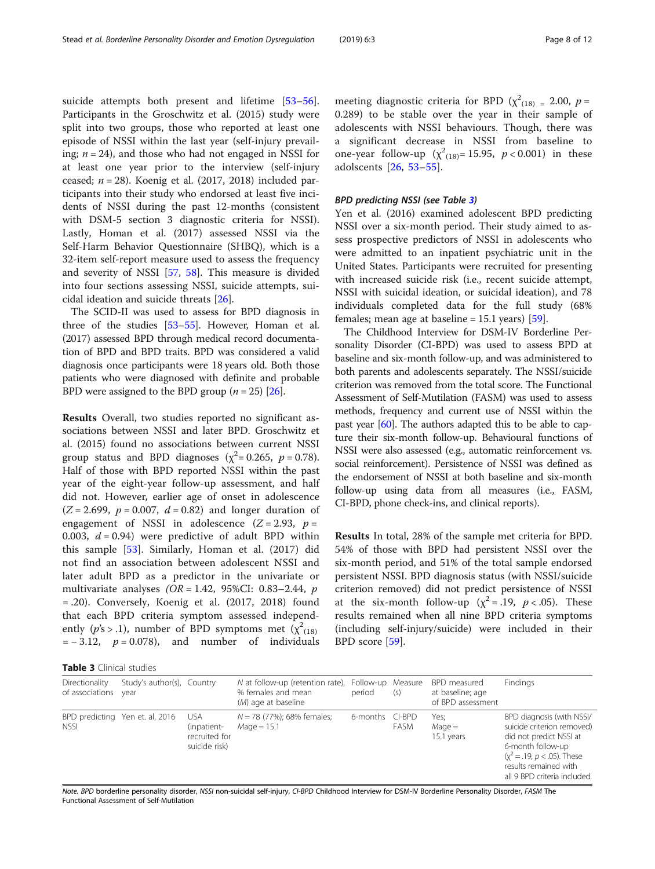suicide attempts both present and lifetime [[53](#page-11-0)–[56](#page-11-0)]. Participants in the Groschwitz et al. (2015) study were split into two groups, those who reported at least one episode of NSSI within the last year (self-injury prevailing;  $n = 24$ ), and those who had not engaged in NSSI for at least one year prior to the interview (self-injury ceased;  $n = 28$ ). Koenig et al. (2017, 2018) included participants into their study who endorsed at least five incidents of NSSI during the past 12-months (consistent with DSM-5 section 3 diagnostic criteria for NSSI). Lastly, Homan et al. (2017) assessed NSSI via the Self-Harm Behavior Questionnaire (SHBQ), which is a 32-item self-report measure used to assess the frequency and severity of NSSI [[57](#page-11-0), [58\]](#page-11-0). This measure is divided into four sections assessing NSSI, suicide attempts, suicidal ideation and suicide threats [[26\]](#page-10-0).

The SCID-II was used to assess for BPD diagnosis in three of the studies [\[53](#page-11-0)–[55\]](#page-11-0). However, Homan et al. (2017) assessed BPD through medical record documentation of BPD and BPD traits. BPD was considered a valid diagnosis once participants were 18 years old. Both those patients who were diagnosed with definite and probable BPD were assigned to the BPD group ( $n = 25$ ) [[26](#page-10-0)].

Results Overall, two studies reported no significant associations between NSSI and later BPD. Groschwitz et al. (2015) found no associations between current NSSI group status and BPD diagnoses ( $\chi^2$ = 0.265,  $p$  = 0.78). Half of those with BPD reported NSSI within the past year of the eight-year follow-up assessment, and half did not. However, earlier age of onset in adolescence  $(Z = 2.699, p = 0.007, d = 0.82)$  and longer duration of engagement of NSSI in adolescence  $(Z = 2.93, p =$ 0.003,  $d = 0.94$ ) were predictive of adult BPD within this sample [\[53](#page-11-0)]. Similarly, Homan et al. (2017) did not find an association between adolescent NSSI and later adult BPD as a predictor in the univariate or multivariate analyses  $(OR = 1.42, 95\% CI: 0.83-2.44, p)$ = .20). Conversely, Koenig et al. (2017, 2018) found that each BPD criteria symptom assessed independently (p's > .1), number of BPD symptoms met ( $\chi^2_{(18)}$  $= -3.12$ ,  $p = 0.078$ ), and number of individuals

meeting diagnostic criteria for BPD ( $\chi^2$ <sub>(18)</sub> = 2.00, *p* = 0.289) to be stable over the year in their sample of adolescents with NSSI behaviours. Though, there was a significant decrease in NSSI from baseline to one-year follow-up  $(\chi^2_{(18)} = 15.95, p < 0.001)$  in these adolscents [\[26](#page-10-0), [53](#page-11-0)–[55](#page-11-0)].

## BPD predicting NSSI (see Table 3)

Yen et al. (2016) examined adolescent BPD predicting NSSI over a six-month period. Their study aimed to assess prospective predictors of NSSI in adolescents who were admitted to an inpatient psychiatric unit in the United States. Participants were recruited for presenting with increased suicide risk (i.e., recent suicide attempt, NSSI with suicidal ideation, or suicidal ideation), and 78 individuals completed data for the full study (68% females; mean age at baseline  $= 15.1$  years) [[59](#page-11-0)].

The Childhood Interview for DSM-IV Borderline Personality Disorder (CI-BPD) was used to assess BPD at baseline and six-month follow-up, and was administered to both parents and adolescents separately. The NSSI/suicide criterion was removed from the total score. The Functional Assessment of Self-Mutilation (FASM) was used to assess methods, frequency and current use of NSSI within the past year [\[60\]](#page-11-0). The authors adapted this to be able to capture their six-month follow-up. Behavioural functions of NSSI were also assessed (e.g., automatic reinforcement vs. social reinforcement). Persistence of NSSI was defined as the endorsement of NSSI at both baseline and six-month follow-up using data from all measures (i.e., FASM, CI-BPD, phone check-ins, and clinical reports).

Results In total, 28% of the sample met criteria for BPD. 54% of those with BPD had persistent NSSI over the six-month period, and 51% of the total sample endorsed persistent NSSI. BPD diagnosis status (with NSSI/suicide criterion removed) did not predict persistence of NSSI at the six-month follow-up ( $\chi^2 = .19$ ,  $p < .05$ ). These results remained when all nine BPD criteria symptoms (including self-injury/suicide) were included in their BPD score [[59](#page-11-0)].

| Directionality<br>of associations year | Study's author(s), Country      |                                                             | N at follow-up (retention rate), Follow-up Measure<br>% females and mean<br>(M) age at baseline | period          | (s)         | BPD measured<br>at baseline; age<br>of BPD assessment | Findings                                                                                                                                                                                           |
|----------------------------------------|---------------------------------|-------------------------------------------------------------|-------------------------------------------------------------------------------------------------|-----------------|-------------|-------------------------------------------------------|----------------------------------------------------------------------------------------------------------------------------------------------------------------------------------------------------|
| <b>NSSI</b>                            | BPD predicting Yen et. al, 2016 | <b>USA</b><br>(inpatient-<br>recruited for<br>suicide risk) | $N = 78$ (77%); 68% females;<br>$Mage = 15.1$                                                   | 6-months CI-BPD | <b>FASM</b> | Yes;<br>$M$ age $=$<br>15.1 years                     | BPD diagnosis (with NSSI/<br>suicide criterion removed)<br>did not predict NSSI at<br>6-month follow-up<br>$(x^2 = .19, p < .05)$ . These<br>results remained with<br>all 9 BPD criteria included. |

Note. BPD borderline personality disorder, NSSI non-suicidal self-injury, CI-BPD Childhood Interview for DSM-IV Borderline Personality Disorder, FASM The Functional Assessment of Self-Mutilation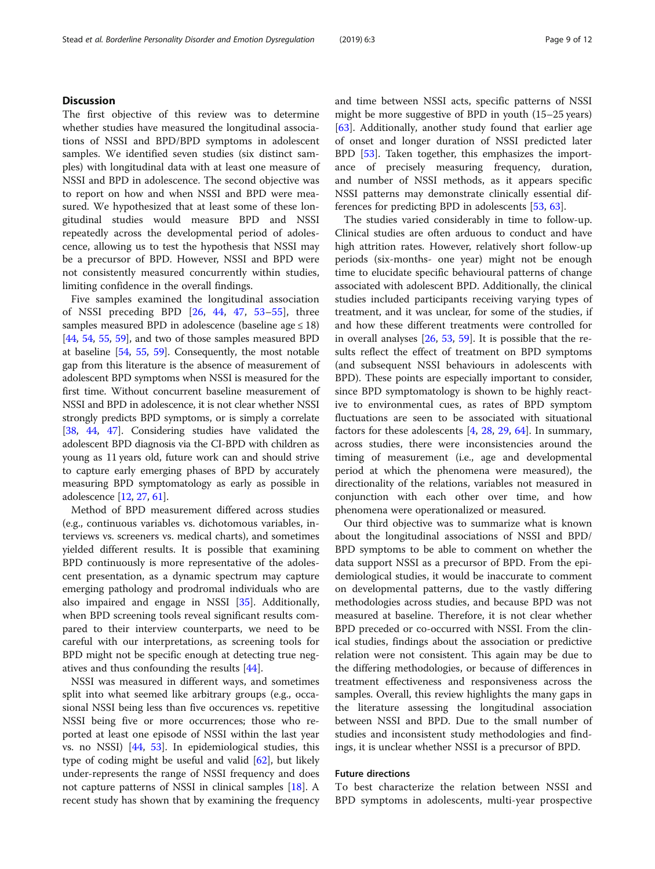## **Discussion**

The first objective of this review was to determine whether studies have measured the longitudinal associations of NSSI and BPD/BPD symptoms in adolescent samples. We identified seven studies (six distinct samples) with longitudinal data with at least one measure of NSSI and BPD in adolescence. The second objective was to report on how and when NSSI and BPD were measured. We hypothesized that at least some of these longitudinal studies would measure BPD and NSSI repeatedly across the developmental period of adolescence, allowing us to test the hypothesis that NSSI may be a precursor of BPD. However, NSSI and BPD were not consistently measured concurrently within studies, limiting confidence in the overall findings.

Five samples examined the longitudinal association of NSSI preceding BPD [[26,](#page-10-0) [44,](#page-10-0) [47](#page-11-0), [53](#page-11-0)–[55](#page-11-0)], three samples measured BPD in adolescence (baseline age  $\leq 18$ ) [[44](#page-10-0), [54](#page-11-0), [55](#page-11-0), [59\]](#page-11-0), and two of those samples measured BPD at baseline [[54](#page-11-0), [55](#page-11-0), [59](#page-11-0)]. Consequently, the most notable gap from this literature is the absence of measurement of adolescent BPD symptoms when NSSI is measured for the first time. Without concurrent baseline measurement of NSSI and BPD in adolescence, it is not clear whether NSSI strongly predicts BPD symptoms, or is simply a correlate [[38](#page-10-0), [44](#page-10-0), [47](#page-11-0)]. Considering studies have validated the adolescent BPD diagnosis via the CI-BPD with children as young as 11 years old, future work can and should strive to capture early emerging phases of BPD by accurately measuring BPD symptomatology as early as possible in adolescence [[12,](#page-10-0) [27,](#page-10-0) [61](#page-11-0)].

Method of BPD measurement differed across studies (e.g., continuous variables vs. dichotomous variables, interviews vs. screeners vs. medical charts), and sometimes yielded different results. It is possible that examining BPD continuously is more representative of the adolescent presentation, as a dynamic spectrum may capture emerging pathology and prodromal individuals who are also impaired and engage in NSSI [[35](#page-10-0)]. Additionally, when BPD screening tools reveal significant results compared to their interview counterparts, we need to be careful with our interpretations, as screening tools for BPD might not be specific enough at detecting true negatives and thus confounding the results [\[44\]](#page-10-0).

NSSI was measured in different ways, and sometimes split into what seemed like arbitrary groups (e.g., occasional NSSI being less than five occurences vs. repetitive NSSI being five or more occurrences; those who reported at least one episode of NSSI within the last year vs. no NSSI) [\[44,](#page-10-0) [53\]](#page-11-0). In epidemiological studies, this type of coding might be useful and valid  $[62]$ , but likely under-represents the range of NSSI frequency and does not capture patterns of NSSI in clinical samples [[18\]](#page-10-0). A recent study has shown that by examining the frequency and time between NSSI acts, specific patterns of NSSI might be more suggestive of BPD in youth (15–25 years) [[63\]](#page-11-0). Additionally, another study found that earlier age of onset and longer duration of NSSI predicted later BPD [[53\]](#page-11-0). Taken together, this emphasizes the importance of precisely measuring frequency, duration, and number of NSSI methods, as it appears specific NSSI patterns may demonstrate clinically essential differences for predicting BPD in adolescents [\[53,](#page-11-0) [63\]](#page-11-0).

The studies varied considerably in time to follow-up. Clinical studies are often arduous to conduct and have high attrition rates. However, relatively short follow-up periods (six-months- one year) might not be enough time to elucidate specific behavioural patterns of change associated with adolescent BPD. Additionally, the clinical studies included participants receiving varying types of treatment, and it was unclear, for some of the studies, if and how these different treatments were controlled for in overall analyses [\[26](#page-10-0), [53,](#page-11-0) [59\]](#page-11-0). It is possible that the results reflect the effect of treatment on BPD symptoms (and subsequent NSSI behaviours in adolescents with BPD). These points are especially important to consider, since BPD symptomatology is shown to be highly reactive to environmental cues, as rates of BPD symptom fluctuations are seen to be associated with situational factors for these adolescents [[4,](#page-10-0) [28,](#page-10-0) [29,](#page-10-0) [64](#page-11-0)]. In summary, across studies, there were inconsistencies around the timing of measurement (i.e., age and developmental period at which the phenomena were measured), the directionality of the relations, variables not measured in conjunction with each other over time, and how phenomena were operationalized or measured.

Our third objective was to summarize what is known about the longitudinal associations of NSSI and BPD/ BPD symptoms to be able to comment on whether the data support NSSI as a precursor of BPD. From the epidemiological studies, it would be inaccurate to comment on developmental patterns, due to the vastly differing methodologies across studies, and because BPD was not measured at baseline. Therefore, it is not clear whether BPD preceded or co-occurred with NSSI. From the clinical studies, findings about the association or predictive relation were not consistent. This again may be due to the differing methodologies, or because of differences in treatment effectiveness and responsiveness across the samples. Overall, this review highlights the many gaps in the literature assessing the longitudinal association between NSSI and BPD. Due to the small number of studies and inconsistent study methodologies and findings, it is unclear whether NSSI is a precursor of BPD.

## Future directions

To best characterize the relation between NSSI and BPD symptoms in adolescents, multi-year prospective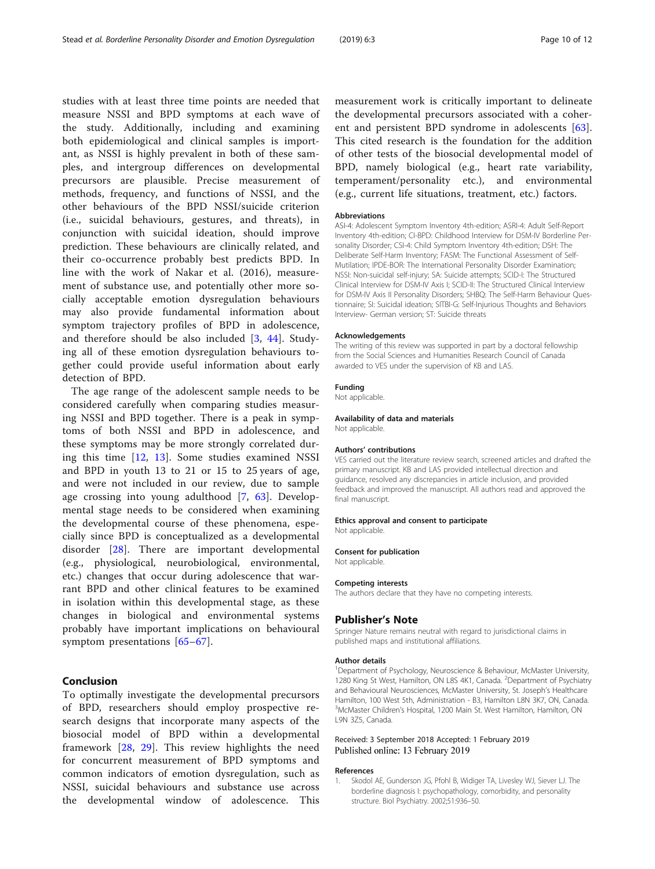<span id="page-9-0"></span>studies with at least three time points are needed that measure NSSI and BPD symptoms at each wave of the study. Additionally, including and examining both epidemiological and clinical samples is important, as NSSI is highly prevalent in both of these samples, and intergroup differences on developmental precursors are plausible. Precise measurement of methods, frequency, and functions of NSSI, and the other behaviours of the BPD NSSI/suicide criterion (i.e., suicidal behaviours, gestures, and threats), in conjunction with suicidal ideation, should improve prediction. These behaviours are clinically related, and their co-occurrence probably best predicts BPD. In line with the work of Nakar et al. (2016), measurement of substance use, and potentially other more socially acceptable emotion dysregulation behaviours may also provide fundamental information about symptom trajectory profiles of BPD in adolescence, and therefore should be also included [\[3](#page-10-0), [44](#page-10-0)]. Studying all of these emotion dysregulation behaviours together could provide useful information about early detection of BPD.

The age range of the adolescent sample needs to be considered carefully when comparing studies measuring NSSI and BPD together. There is a peak in symptoms of both NSSI and BPD in adolescence, and these symptoms may be more strongly correlated during this time [[12,](#page-10-0) [13](#page-10-0)]. Some studies examined NSSI and BPD in youth 13 to 21 or 15 to 25 years of age, and were not included in our review, due to sample age crossing into young adulthood [\[7](#page-10-0), [63\]](#page-11-0). Developmental stage needs to be considered when examining the developmental course of these phenomena, especially since BPD is conceptualized as a developmental disorder [[28](#page-10-0)]. There are important developmental (e.g., physiological, neurobiological, environmental, etc.) changes that occur during adolescence that warrant BPD and other clinical features to be examined in isolation within this developmental stage, as these changes in biological and environmental systems probably have important implications on behavioural symptom presentations [[65](#page-11-0)–[67](#page-11-0)].

## Conclusion

To optimally investigate the developmental precursors of BPD, researchers should employ prospective research designs that incorporate many aspects of the biosocial model of BPD within a developmental framework [\[28](#page-10-0), [29](#page-10-0)]. This review highlights the need for concurrent measurement of BPD symptoms and common indicators of emotion dysregulation, such as NSSI, suicidal behaviours and substance use across the developmental window of adolescence. This measurement work is critically important to delineate the developmental precursors associated with a coher-ent and persistent BPD syndrome in adolescents [\[63](#page-11-0)]. This cited research is the foundation for the addition of other tests of the biosocial developmental model of BPD, namely biological (e.g., heart rate variability, temperament/personality etc.), and environmental (e.g., current life situations, treatment, etc.) factors.

#### Abbreviations

ASI-4: Adolescent Symptom Inventory 4th-edition; ASRI-4: Adult Self-Report Inventory 4th-edition; CI-BPD: Childhood Interview for DSM-IV Borderline Personality Disorder; CSI-4: Child Symptom Inventory 4th-edition; DSH: The Deliberate Self-Harm Inventory; FASM: The Functional Assessment of Self-Mutilation; IPDE-BOR: The International Personality Disorder Examination; NSSI: Non-suicidal self-injury; SA: Suicide attempts; SCID-I: The Structured Clinical Interview for DSM-IV Axis I; SCID-II: The Structured Clinical Interview for DSM-IV Axis II Personality Disorders; SHBQ: The Self-Harm Behaviour Questionnaire; SI: Suicidal ideation; SITBI-G: Self-Injurious Thoughts and Behaviors Interview- German version; ST: Suicide threats

## Acknowledgements

The writing of this review was supported in part by a doctoral fellowship from the Social Sciences and Humanities Research Council of Canada awarded to VES under the supervision of KB and LAS.

### Funding

Not applicable.

### Availability of data and materials Not applicable.

## Authors' contributions

VES carried out the literature review search, screened articles and drafted the primary manuscript. KB and LAS provided intellectual direction and guidance, resolved any discrepancies in article inclusion, and provided feedback and improved the manuscript. All authors read and approved the final manuscript.

### Ethics approval and consent to participate

Not applicable.

#### Consent for publication

Not applicable.

#### Competing interests

The authors declare that they have no competing interests.

## Publisher's Note

Springer Nature remains neutral with regard to jurisdictional claims in published maps and institutional affiliations.

#### Author details

<sup>1</sup>Department of Psychology, Neuroscience & Behaviour, McMaster University, 1280 King St West, Hamilton, ON L8S 4K1, Canada. <sup>2</sup>Department of Psychiatry and Behavioural Neurosciences, McMaster University, St. Joseph's Healthcare Hamilton, 100 West 5th, Administration - B3, Hamilton L8N 3K7, ON, Canada. <sup>3</sup>McMaster Children's Hospital, 1200 Main St. West Hamilton, Hamilton, ON L9N 3Z5, Canada.

## Received: 3 September 2018 Accepted: 1 February 2019 Published online: 13 February 2019

#### References

1. Skodol AE, Gunderson JG, Pfohl B, Widiger TA, Livesley WJ, Siever LJ. The borderline diagnosis I: psychopathology, comorbidity, and personality structure. Biol Psychiatry. 2002;51:936–50.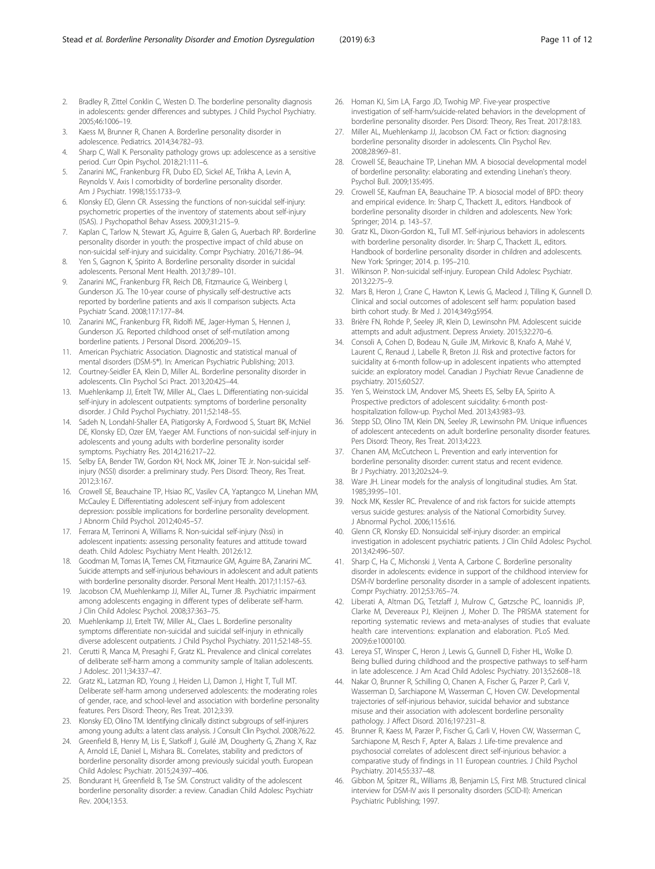- <span id="page-10-0"></span>3. Kaess M, Brunner R, Chanen A. Borderline personality disorder in adolescence. Pediatrics. 2014;34:782–93.
- 4. Sharp C, Wall K. Personality pathology grows up: adolescence as a sensitive period. Curr Opin Psychol. 2018;21:111–6.
- 5. Zanarini MC, Frankenburg FR, Dubo ED, Sickel AE, Trikha A, Levin A, Reynolds V. Axis I comorbidity of borderline personality disorder. Am J Psychiatr. 1998;155:1733–9.
- Klonsky ED, Glenn CR. Assessing the functions of non-suicidal self-injury: psychometric properties of the inventory of statements about self-injury (ISAS). J Psychopathol Behav Assess. 2009;31:215–9.
- 7. Kaplan C, Tarlow N, Stewart JG, Aguirre B, Galen G, Auerbach RP. Borderline personality disorder in youth: the prospective impact of child abuse on non-suicidal self-injury and suicidality. Compr Psychiatry. 2016;71:86–94.
- Yen S, Gagnon K, Spirito A. Borderline personality disorder in suicidal adolescents. Personal Ment Health. 2013;7:89–101.
- 9. Zanarini MC, Frankenburg FR, Reich DB, Fitzmaurice G, Weinberg I, Gunderson JG. The 10-year course of physically self-destructive acts reported by borderline patients and axis II comparison subjects. Acta Psychiatr Scand. 2008;117:177–84.
- 10. Zanarini MC, Frankenburg FR, Ridolfi ME, Jager-Hyman S, Hennen J, Gunderson JG. Reported childhood onset of self-mutilation among borderline patients. J Personal Disord. 2006;20:9–15.
- 11. American Psychiatric Association. Diagnostic and statistical manual of mental disorders (DSM-5®). In: American Psychiatric Publishing; 2013.
- 12. Courtney-Seidler EA, Klein D, Miller AL. Borderline personality disorder in adolescents. Clin Psychol Sci Pract. 2013;20:425–44.
- 13. Muehlenkamp JJ, Ertelt TW, Miller AL, Claes L. Differentiating non-suicidal self-injury in adolescent outpatients: symptoms of borderline personality disorder. J Child Psychol Psychiatry. 2011;52:148–55.
- 14. Sadeh N, Londahl-Shaller EA, Piatigorsky A, Fordwood S, Stuart BK, McNiel DE, Klonsky ED, Ozer EM, Yaeger AM. Functions of non-suicidal self-injury in adolescents and young adults with borderline personality isorder symptoms. Psychiatry Res. 2014;216:217–22.
- 15. Selby EA, Bender TW, Gordon KH, Nock MK, Joiner TE Jr. Non-suicidal selfinjury (NSSI) disorder: a preliminary study. Pers Disord: Theory, Res Treat. 2012;3:167.
- 16. Crowell SE, Beauchaine TP, Hsiao RC, Vasilev CA, Yaptangco M, Linehan MM, McCauley E. Differentiating adolescent self-injury from adolescent depression: possible implications for borderline personality development. J Abnorm Child Psychol. 2012;40:45–57.
- 17. Ferrara M, Terrinoni A, Williams R. Non-suicidal self-injury (Nssi) in adolescent inpatients: assessing personality features and attitude toward death. Child Adolesc Psychiatry Ment Health. 2012;6:12.
- 18. Goodman M, Tomas IA, Temes CM, Fitzmaurice GM, Aguirre BA, Zanarini MC. Suicide attempts and self-injurious behaviours in adolescent and adult patients with borderline personality disorder. Personal Ment Health. 2017;11:157–63.
- 19. Jacobson CM, Muehlenkamp JJ, Miller AL, Turner JB. Psychiatric impairment among adolescents engaging in different types of deliberate self-harm. J Clin Child Adolesc Psychol. 2008;37:363–75.
- 20. Muehlenkamp JJ, Ertelt TW, Miller AL, Claes L. Borderline personality symptoms differentiate non-suicidal and suicidal self-injury in ethnically diverse adolescent outpatients. J Child Psychol Psychiatry. 2011;52:148–55.
- 21. Cerutti R, Manca M, Presaghi F, Gratz KL. Prevalence and clinical correlates of deliberate self-harm among a community sample of Italian adolescents. J Adolesc. 2011;34:337–47.
- 22. Gratz KL, Latzman RD, Young J, Heiden LJ, Damon J, Hight T, Tull MT. Deliberate self-harm among underserved adolescents: the moderating roles of gender, race, and school-level and association with borderline personality features. Pers Disord: Theory, Res Treat. 2012;3:39.
- 23. Klonsky ED, Olino TM. Identifying clinically distinct subgroups of self-injurers among young adults: a latent class analysis. J Consult Clin Psychol. 2008;76:22.
- 24. Greenfield B, Henry M, Lis E, Slatkoff J, Guilé JM, Dougherty G, Zhang X, Raz A, Arnold LE, Daniel L, Mishara BL. Correlates, stability and predictors of borderline personality disorder among previously suicidal youth. European Child Adolesc Psychiatr. 2015;24:397–406.
- 25. Bondurant H, Greenfield B, Tse SM. Construct validity of the adolescent borderline personality disorder: a review. Canadian Child Adolesc Psychiatr Rev. 2004;13:53.
- 26. Homan KJ, Sim LA, Fargo JD, Twohig MP. Five-year prospective investigation of self-harm/suicide-related behaviors in the development of borderline personality disorder. Pers Disord: Theory, Res Treat. 2017;8:183.
- 27. Miller AL, Muehlenkamp JJ, Jacobson CM. Fact or fiction: diagnosing borderline personality disorder in adolescents. Clin Psychol Rev. 2008;28:969–81.
- 28. Crowell SE, Beauchaine TP, Linehan MM. A biosocial developmental model of borderline personality: elaborating and extending Linehan's theory. Psychol Bull. 2009;135:495.
- 29. Crowell SE, Kaufman EA, Beauchaine TP. A biosocial model of BPD: theory and empirical evidence. In: Sharp C, Thackett JL, editors. Handbook of borderline personality disorder in children and adolescents. New York: Springer; 2014. p. 143–57.
- 30. Gratz KL, Dixon-Gordon KL, Tull MT. Self-injurious behaviors in adolescents with borderline personality disorder. In: Sharp C, Thackett JL, editors. Handbook of borderline personality disorder in children and adolescents. New York: Springer; 2014. p. 195–210.
- 31. Wilkinson P. Non-suicidal self-injury. European Child Adolesc Psychiatr. 2013;22:75–9.
- 32. Mars B, Heron J, Crane C, Hawton K, Lewis G, Macleod J, Tilling K, Gunnell D. Clinical and social outcomes of adolescent self harm: population based birth cohort study. Br Med J. 2014;349:g5954.
- 33. Brière FN, Rohde P, Seeley JR, Klein D, Lewinsohn PM. Adolescent suicide attempts and adult adjustment. Depress Anxiety. 2015;32:270–6.
- 34. Consoli A, Cohen D, Bodeau N, Guile JM, Mirkovic B, Knafo A, Mahé V, Laurent C, Renaud J, Labelle R, Breton JJ. Risk and protective factors for suicidality at 6-month follow-up in adolescent inpatients who attempted suicide: an exploratory model. Canadian J Psychiatr Revue Canadienne de psychiatry. 2015;60:S27.
- 35. Yen S, Weinstock LM, Andover MS, Sheets ES, Selby EA, Spirito A. Prospective predictors of adolescent suicidality: 6-month posthospitalization follow-up. Psychol Med. 2013;43:983–93.
- 36. Stepp SD, Olino TM, Klein DN, Seeley JR, Lewinsohn PM. Unique influences of adolescent antecedents on adult borderline personality disorder features. Pers Disord: Theory, Res Treat. 2013;4:223.
- 37. Chanen AM, McCutcheon L. Prevention and early intervention for borderline personality disorder: current status and recent evidence. Br J Psychiatry. 2013;202:s24–9.
- 38. Ware JH. Linear models for the analysis of longitudinal studies. Am Stat. 1985;39:95–101.
- 39. Nock MK, Kessler RC. Prevalence of and risk factors for suicide attempts versus suicide gestures: analysis of the National Comorbidity Survey. J Abnormal Pychol. 2006;115:616.
- 40. Glenn CR, Klonsky ED. Nonsuicidal self-injury disorder: an empirical investigation in adolescent psychiatric patients. J Clin Child Adolesc Psychol. 2013;42:496–507.
- 41. Sharp C, Ha C, Michonski J, Venta A, Carbone C. Borderline personality disorder in adolescents: evidence in support of the childhood interview for DSM-IV borderline personality disorder in a sample of adolescent inpatients. Compr Psychiatry. 2012;53:765–74.
- 42. Liberati A, Altman DG, Tetzlaff J, Mulrow C, Gøtzsche PC, Ioannidis JP, Clarke M, Devereaux PJ, Kleijnen J, Moher D. The PRISMA statement for reporting systematic reviews and meta-analyses of studies that evaluate health care interventions: explanation and elaboration. PLoS Med. 2009;6:e1000100.
- 43. Lereya ST, Winsper C, Heron J, Lewis G, Gunnell D, Fisher HL, Wolke D. Being bullied during childhood and the prospective pathways to self-harm in late adolescence. J Am Acad Child Adolesc Psychiatry. 2013;52:608–18.
- 44. Nakar O, Brunner R, Schilling O, Chanen A, Fischer G, Parzer P, Carli V, Wasserman D, Sarchiapone M, Wasserman C, Hoven CW. Developmental trajectories of self-injurious behavior, suicidal behavior and substance misuse and their association with adolescent borderline personality pathology. J Affect Disord. 2016;197:231–8.
- 45. Brunner R, Kaess M, Parzer P, Fischer G, Carli V, Hoven CW, Wasserman C, Sarchiapone M, Resch F, Apter A, Balazs J. Life-time prevalence and psychosocial correlates of adolescent direct self-injurious behavior: a comparative study of findings in 11 European countries. J Child Psychol Psychiatry. 2014;55:337–48.
- 46. Gibbon M, Spitzer RL, Williams JB, Benjamin LS, First MB. Structured clinical interview for DSM-IV axis II personality disorders (SCID-II): American Psychiatric Publishing; 1997.